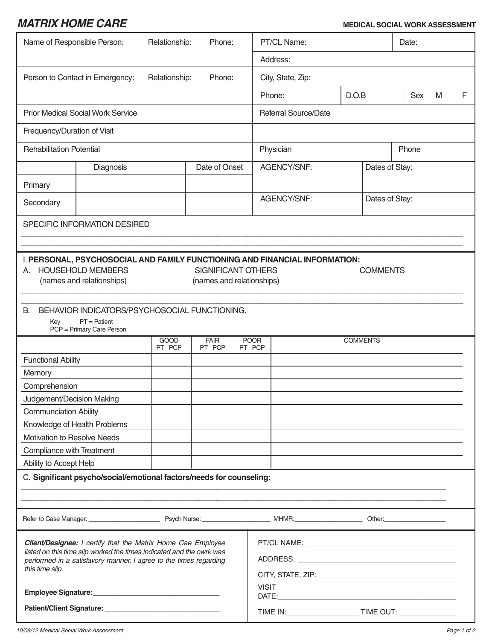## *MATRIX HOME CARE* **MEDICAL SOCIAL WORK ASSESSMENT**

| Name of Responsible Person:<br>Relationship:<br>Phone:                                                                                                                                                                       |           |                       |                       |                       | PT/CL Name:                 |                 |       |                | Date: |   |   |  |
|------------------------------------------------------------------------------------------------------------------------------------------------------------------------------------------------------------------------------|-----------|-----------------------|-----------------------|-----------------------|-----------------------------|-----------------|-------|----------------|-------|---|---|--|
|                                                                                                                                                                                                                              |           |                       |                       |                       | Address:                    |                 |       |                |       |   |   |  |
| Relationship:<br>Person to Contact in Emergency:<br>Phone:                                                                                                                                                                   |           |                       |                       |                       | City, State, Zip:           |                 |       |                |       |   |   |  |
|                                                                                                                                                                                                                              |           |                       |                       |                       |                             | Phone:          | D.O.B |                | Sex   | M | F |  |
| <b>Prior Medical Social Work Service</b>                                                                                                                                                                                     |           |                       |                       |                       | <b>Referral Source/Date</b> |                 |       |                |       |   |   |  |
| Frequency/Duration of Visit                                                                                                                                                                                                  |           |                       |                       |                       |                             |                 |       |                |       |   |   |  |
| <b>Rehabilitation Potential</b>                                                                                                                                                                                              |           |                       |                       |                       | Physician<br>Phone          |                 |       |                |       |   |   |  |
|                                                                                                                                                                                                                              | Diagnosis |                       | Date of Onset         |                       | AGENCY/SNF:                 |                 |       | Dates of Stay: |       |   |   |  |
| Primary                                                                                                                                                                                                                      |           |                       |                       |                       |                             |                 |       |                |       |   |   |  |
| Secondary                                                                                                                                                                                                                    |           |                       |                       |                       | AGENCY/SNF:                 |                 |       | Dates of Stay: |       |   |   |  |
| SPECIFIC INFORMATION DESIRED                                                                                                                                                                                                 |           |                       |                       |                       |                             |                 |       |                |       |   |   |  |
|                                                                                                                                                                                                                              |           |                       |                       |                       |                             |                 |       |                |       |   |   |  |
| I. PERSONAL, PSYCHOSOCIAL AND FAMILY FUNCTIONING AND FINANCIAL INFORMATION:<br><b>HOUSEHOLD MEMBERS</b><br><b>SIGNIFICANT OTHERS</b><br><b>COMMENTS</b><br>А.<br>(names and relationships)<br>(names and relationships)      |           |                       |                       |                       |                             |                 |       |                |       |   |   |  |
| BEHAVIOR INDICATORS/PSYCHOSOCIAL FUNCTIONING.<br><b>B.</b><br>$PT =$ Patient<br>Key<br>PCP = Primary Care Person                                                                                                             |           |                       |                       |                       |                             |                 |       |                |       |   |   |  |
|                                                                                                                                                                                                                              |           | <b>GOOD</b><br>PT PCP | <b>FAIR</b><br>PT PCP | <b>POOR</b><br>PT PCP |                             | <b>COMMENTS</b> |       |                |       |   |   |  |
| <b>Functional Ability</b>                                                                                                                                                                                                    |           |                       |                       |                       |                             |                 |       |                |       |   |   |  |
| Memory                                                                                                                                                                                                                       |           |                       |                       |                       |                             |                 |       |                |       |   |   |  |
| Comprehension                                                                                                                                                                                                                |           |                       |                       |                       |                             |                 |       |                |       |   |   |  |
| Judgement/Decision Making<br><b>Communciation Ability</b>                                                                                                                                                                    |           |                       |                       |                       |                             |                 |       |                |       |   |   |  |
| Knowledge of Health Problems                                                                                                                                                                                                 |           |                       |                       |                       |                             |                 |       |                |       |   |   |  |
| Motivation to Resolve Needs                                                                                                                                                                                                  |           |                       |                       |                       |                             |                 |       |                |       |   |   |  |
| <b>Compliance with Treatment</b>                                                                                                                                                                                             |           |                       |                       |                       |                             |                 |       |                |       |   |   |  |
| Ability to Accept Help                                                                                                                                                                                                       |           |                       |                       |                       |                             |                 |       |                |       |   |   |  |
| C. Significant psycho/social/emotional factors/needs for counseling:                                                                                                                                                         |           |                       |                       |                       |                             |                 |       |                |       |   |   |  |
|                                                                                                                                                                                                                              |           |                       |                       |                       |                             |                 |       |                |       |   |   |  |
|                                                                                                                                                                                                                              |           |                       |                       |                       |                             |                 |       |                |       |   |   |  |
|                                                                                                                                                                                                                              |           |                       |                       |                       |                             |                 |       |                |       |   |   |  |
| Client/Designee: I certify that the Matrix Home Cae Employee<br>listed on this time slip worked the times indicated and the owrk was<br>performed in a satisfavory manner. I agree to the times regarding<br>this time slip. |           |                       |                       |                       |                             |                 |       |                |       |   |   |  |
|                                                                                                                                                                                                                              |           |                       |                       |                       | <b>VISIT</b>                |                 |       |                |       |   |   |  |
|                                                                                                                                                                                                                              |           |                       |                       |                       |                             |                 |       |                |       |   |   |  |

H